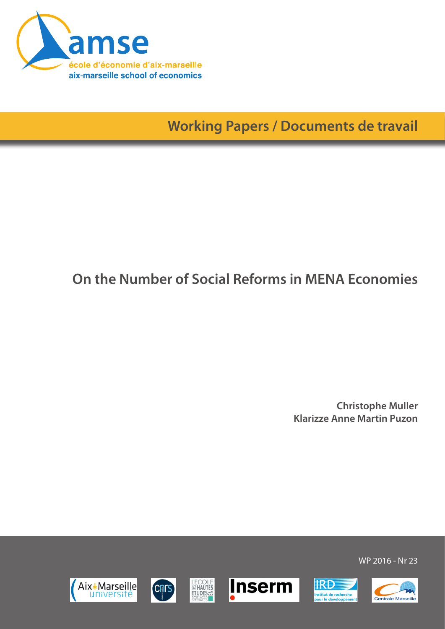

**Working Papers / Documents de travail**

## **On the Number of Social Reforms in MENA Economies**

**Christophe Muller Klarizze Anne Martin Puzon**













WP 2016 - Nr 23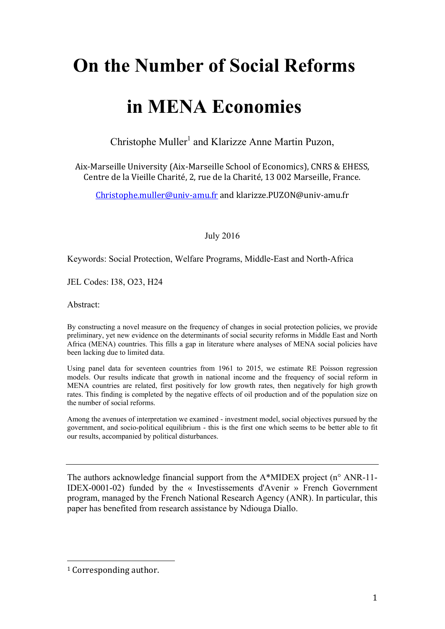# **On the Number of Social Reforms**

# **in MENA Economies**

Christophe Muller<sup>1</sup> and Klarizze Anne Martin Puzon,

Aix-Marseille University (Aix-Marseille School of Economics), CNRS & EHESS, Centre de la Vieille Charité, 2, rue de la Charité, 13 002 Marseille, France.

Christophe.muller@univ-amu.fr and klarizze.PUZON@univ-amu.fr

July 2016

Keywords: Social Protection, Welfare Programs, Middle-East and North-Africa

JEL Codes: I38, O23, H24

Abstract:

By constructing a novel measure on the frequency of changes in social protection policies, we provide preliminary, yet new evidence on the determinants of social security reforms in Middle East and North Africa (MENA) countries. This fills a gap in literature where analyses of MENA social policies have been lacking due to limited data.

Using panel data for seventeen countries from 1961 to 2015, we estimate RE Poisson regression models. Our results indicate that growth in national income and the frequency of social reform in MENA countries are related, first positively for low growth rates, then negatively for high growth rates. This finding is completed by the negative effects of oil production and of the population size on the number of social reforms.

Among the avenues of interpretation we examined - investment model, social objectives pursued by the government, and socio-political equilibrium - this is the first one which seems to be better able to fit our results, accompanied by political disturbances.

The authors acknowledge financial support from the A\*MIDEX project (n° ANR-11- IDEX-0001-02) funded by the « Investissements d'Avenir » French Government program, managed by the French National Research Agency (ANR). In particular, this paper has benefited from research assistance by Ndiouga Diallo.

 

<sup>&</sup>lt;sup>1</sup> Corresponding author.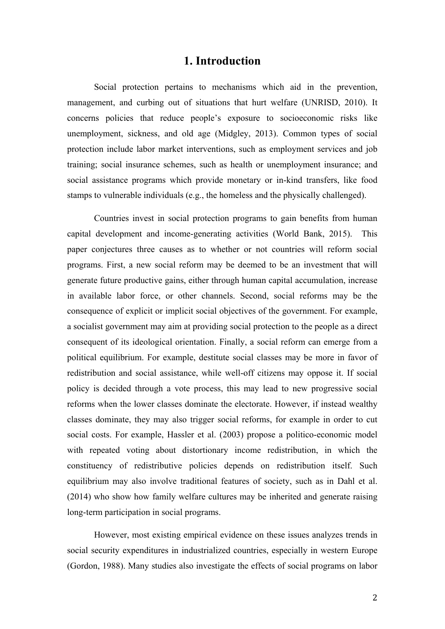#### **1. Introduction**

 Social protection pertains to mechanisms which aid in the prevention, management, and curbing out of situations that hurt welfare (UNRISD, 2010). It concerns policies that reduce people's exposure to socioeconomic risks like unemployment, sickness, and old age (Midgley, 2013). Common types of social protection include labor market interventions, such as employment services and job training; social insurance schemes, such as health or unemployment insurance; and social assistance programs which provide monetary or in-kind transfers, like food stamps to vulnerable individuals (e.g., the homeless and the physically challenged).

 Countries invest in social protection programs to gain benefits from human capital development and income-generating activities (World Bank, 2015). This paper conjectures three causes as to whether or not countries will reform social programs. First, a new social reform may be deemed to be an investment that will generate future productive gains, either through human capital accumulation, increase in available labor force, or other channels. Second, social reforms may be the consequence of explicit or implicit social objectives of the government. For example, a socialist government may aim at providing social protection to the people as a direct consequent of its ideological orientation. Finally, a social reform can emerge from a political equilibrium. For example, destitute social classes may be more in favor of redistribution and social assistance, while well-off citizens may oppose it. If social policy is decided through a vote process, this may lead to new progressive social reforms when the lower classes dominate the electorate. However, if instead wealthy classes dominate, they may also trigger social reforms, for example in order to cut social costs. For example, Hassler et al. (2003) propose a politico-economic model with repeated voting about distortionary income redistribution, in which the constituency of redistributive policies depends on redistribution itself. Such equilibrium may also involve traditional features of society, such as in Dahl et al. (2014) who show how family welfare cultures may be inherited and generate raising long-term participation in social programs.

However, most existing empirical evidence on these issues analyzes trends in social security expenditures in industrialized countries, especially in western Europe (Gordon, 1988). Many studies also investigate the effects of social programs on labor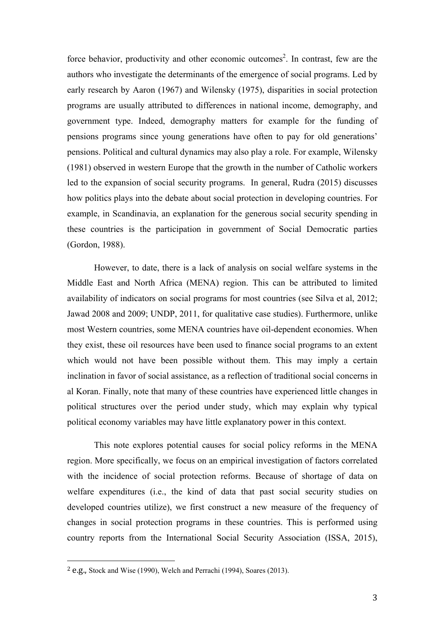force behavior, productivity and other economic outcomes<sup>2</sup>. In contrast, few are the authors who investigate the determinants of the emergence of social programs. Led by early research by Aaron (1967) and Wilensky (1975), disparities in social protection programs are usually attributed to differences in national income, demography, and government type. Indeed, demography matters for example for the funding of pensions programs since young generations have often to pay for old generations' pensions. Political and cultural dynamics may also play a role. For example, Wilensky (1981) observed in western Europe that the growth in the number of Catholic workers led to the expansion of social security programs. In general, Rudra (2015) discusses how politics plays into the debate about social protection in developing countries. For example, in Scandinavia, an explanation for the generous social security spending in these countries is the participation in government of Social Democratic parties (Gordon, 1988).

However, to date, there is a lack of analysis on social welfare systems in the Middle East and North Africa (MENA) region. This can be attributed to limited availability of indicators on social programs for most countries (see Silva et al, 2012; Jawad 2008 and 2009; UNDP, 2011, for qualitative case studies). Furthermore, unlike most Western countries, some MENA countries have oil-dependent economies. When they exist, these oil resources have been used to finance social programs to an extent which would not have been possible without them. This may imply a certain inclination in favor of social assistance, as a reflection of traditional social concerns in al Koran. Finally, note that many of these countries have experienced little changes in political structures over the period under study, which may explain why typical political economy variables may have little explanatory power in this context.

This note explores potential causes for social policy reforms in the MENA region. More specifically, we focus on an empirical investigation of factors correlated with the incidence of social protection reforms. Because of shortage of data on welfare expenditures (i.e., the kind of data that past social security studies on developed countries utilize), we first construct a new measure of the frequency of changes in social protection programs in these countries. This is performed using country reports from the International Social Security Association (ISSA, 2015),

 

 $2$  e.g., Stock and Wise (1990), Welch and Perrachi (1994), Soares (2013).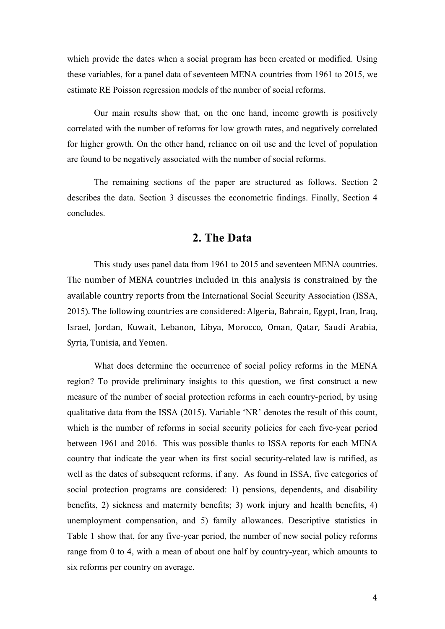which provide the dates when a social program has been created or modified. Using these variables, for a panel data of seventeen MENA countries from 1961 to 2015, we estimate RE Poisson regression models of the number of social reforms.

Our main results show that, on the one hand, income growth is positively correlated with the number of reforms for low growth rates, and negatively correlated for higher growth. On the other hand, reliance on oil use and the level of population are found to be negatively associated with the number of social reforms.

The remaining sections of the paper are structured as follows. Section 2 describes the data. Section 3 discusses the econometric findings. Finally, Section 4 concludes.

#### **2. The Data**

This study uses panel data from 1961 to 2015 and seventeen MENA countries. The number of MENA countries included in this analysis is constrained by the available country reports from the International Social Security Association (ISSA, 2015). The following countries are considered: Algeria, Bahrain, Egypt, Iran, Iraq, Israel, Jordan, Kuwait, Lebanon, Libya, Morocco, Oman, Qatar, Saudi Arabia, Syria, Tunisia, and Yemen.

What does determine the occurrence of social policy reforms in the MENA region? To provide preliminary insights to this question, we first construct a new measure of the number of social protection reforms in each country-period, by using qualitative data from the ISSA (2015). Variable 'NR' denotes the result of this count, which is the number of reforms in social security policies for each five-year period between 1961 and 2016. This was possible thanks to ISSA reports for each MENA country that indicate the year when its first social security-related law is ratified, as well as the dates of subsequent reforms, if any. As found in ISSA, five categories of social protection programs are considered: 1) pensions, dependents, and disability benefits, 2) sickness and maternity benefits; 3) work injury and health benefits, 4) unemployment compensation, and 5) family allowances. Descriptive statistics in Table 1 show that, for any five-year period, the number of new social policy reforms range from 0 to 4, with a mean of about one half by country-year, which amounts to six reforms per country on average.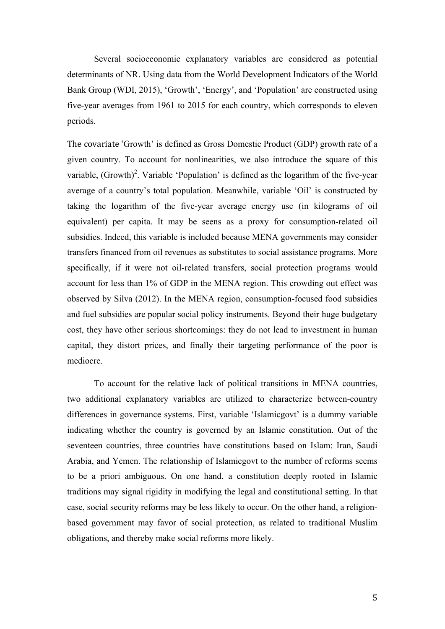Several socioeconomic explanatory variables are considered as potential determinants of NR. Using data from the World Development Indicators of the World Bank Group (WDI, 2015), 'Growth', 'Energy', and 'Population' are constructed using five-year averages from 1961 to 2015 for each country, which corresponds to eleven periods.

The covariate 'Growth' is defined as Gross Domestic Product (GDP) growth rate of a given country. To account for nonlinearities, we also introduce the square of this variable,  $(Growth)^2$ . Variable 'Population' is defined as the logarithm of the five-year average of a country's total population. Meanwhile, variable 'Oil' is constructed by taking the logarithm of the five-year average energy use (in kilograms of oil equivalent) per capita. It may be seens as a proxy for consumption-related oil subsidies. Indeed, this variable is included because MENA governments may consider transfers financed from oil revenues as substitutes to social assistance programs. More specifically, if it were not oil-related transfers, social protection programs would account for less than 1% of GDP in the MENA region. This crowding out effect was observed by Silva (2012). In the MENA region, consumption-focused food subsidies and fuel subsidies are popular social policy instruments. Beyond their huge budgetary cost, they have other serious shortcomings: they do not lead to investment in human capital, they distort prices, and finally their targeting performance of the poor is mediocre.

To account for the relative lack of political transitions in MENA countries, two additional explanatory variables are utilized to characterize between-country differences in governance systems. First, variable 'Islamicgovt' is a dummy variable indicating whether the country is governed by an Islamic constitution. Out of the seventeen countries, three countries have constitutions based on Islam: Iran, Saudi Arabia, and Yemen. The relationship of Islamicgovt to the number of reforms seems to be a priori ambiguous. On one hand, a constitution deeply rooted in Islamic traditions may signal rigidity in modifying the legal and constitutional setting. In that case, social security reforms may be less likely to occur. On the other hand, a religionbased government may favor of social protection, as related to traditional Muslim obligations, and thereby make social reforms more likely.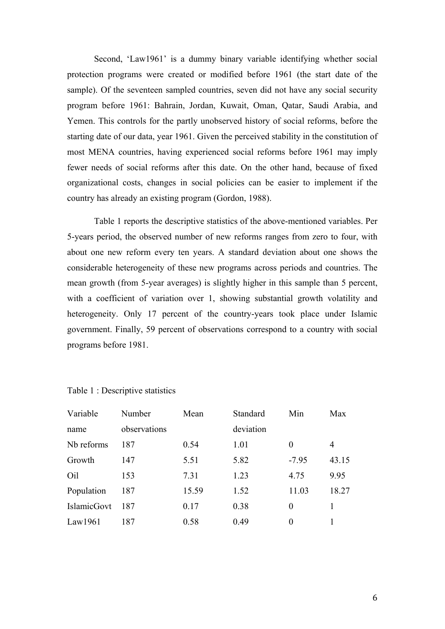Second, 'Law1961' is a dummy binary variable identifying whether social protection programs were created or modified before 1961 (the start date of the sample). Of the seventeen sampled countries, seven did not have any social security program before 1961: Bahrain, Jordan, Kuwait, Oman, Qatar, Saudi Arabia, and Yemen. This controls for the partly unobserved history of social reforms, before the starting date of our data, year 1961. Given the perceived stability in the constitution of most MENA countries, having experienced social reforms before 1961 may imply fewer needs of social reforms after this date. On the other hand, because of fixed organizational costs, changes in social policies can be easier to implement if the country has already an existing program (Gordon, 1988).

Table 1 reports the descriptive statistics of the above-mentioned variables. Per 5-years period, the observed number of new reforms ranges from zero to four, with about one new reform every ten years. A standard deviation about one shows the considerable heterogeneity of these new programs across periods and countries. The mean growth (from 5-year averages) is slightly higher in this sample than 5 percent, with a coefficient of variation over 1, showing substantial growth volatility and heterogeneity. Only 17 percent of the country-years took place under Islamic government. Finally, 59 percent of observations correspond to a country with social programs before 1981.

| Variable    | Number       | Mean  | Standard  | Min      | Max   |
|-------------|--------------|-------|-----------|----------|-------|
| name        | observations |       | deviation |          |       |
| Nb reforms  | 187          | 0.54  | 1.01      | $\theta$ | 4     |
| Growth      | 147          | 5.51  | 5.82      | $-7.95$  | 43.15 |
| Oil         | 153          | 7.31  | 1.23      | 4.75     | 9.95  |
| Population  | 187          | 15.59 | 1.52      | 11.03    | 18.27 |
| IslamicGovt | 187          | 0.17  | 0.38      | $\theta$ | 1     |
| Law1961     | 187          | 0.58  | 0.49      | $\theta$ |       |

Table 1 : Descriptive statistics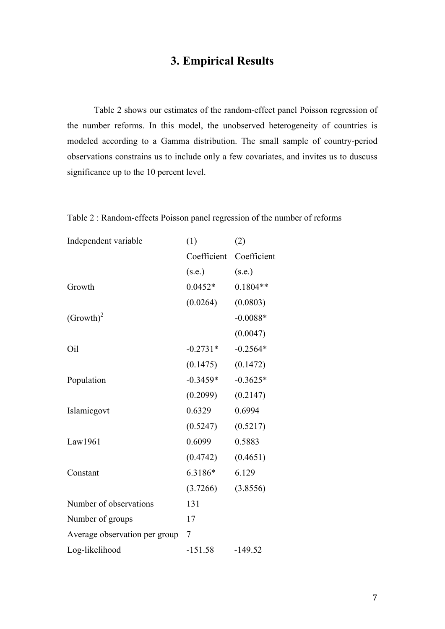### **3. Empirical Results**

Table 2 shows our estimates of the random-effect panel Poisson regression of the number reforms. In this model, the unobserved heterogeneity of countries is modeled according to a Gamma distribution. The small sample of country-period observations constrains us to include only a few covariates, and invites us to duscuss significance up to the 10 percent level.

Table 2 : Random-effects Poisson panel regression of the number of reforms

| Independent variable          | (1)         | (2)         |  |
|-------------------------------|-------------|-------------|--|
|                               | Coefficient | Coefficient |  |
|                               | (s.e.)      | (s.e.)      |  |
| Growth                        | $0.0452*$   | $0.1804**$  |  |
|                               | (0.0264)    | (0.0803)    |  |
| $(Growth)^2$                  |             | $-0.0088*$  |  |
|                               |             | (0.0047)    |  |
| Oil                           | $-0.2731*$  | $-0.2564*$  |  |
|                               | (0.1475)    | (0.1472)    |  |
| Population                    | $-0.3459*$  | $-0.3625*$  |  |
|                               | (0.2099)    | (0.2147)    |  |
| Islamicgovt                   | 0.6329      | 0.6994      |  |
|                               | (0.5247)    | (0.5217)    |  |
| Law1961                       | 0.6099      | 0.5883      |  |
|                               | (0.4742)    | (0.4651)    |  |
| Constant                      | 6.3186*     | 6.129       |  |
|                               | (3.7266)    | (3.8556)    |  |
| Number of observations        | 131         |             |  |
| Number of groups              | 17          |             |  |
| Average observation per group | 7           |             |  |
| Log-likelihood                | $-151.58$   | $-149.52$   |  |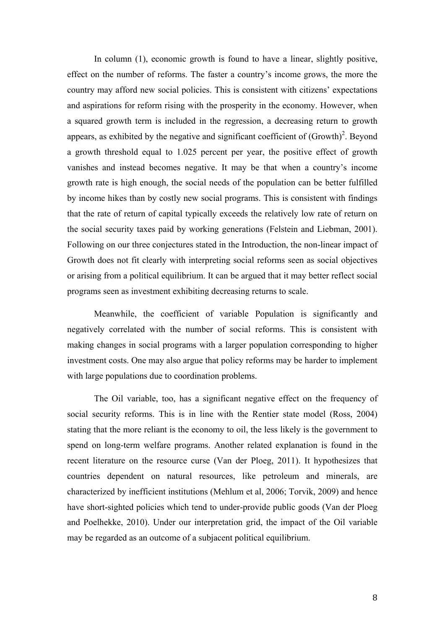In column (1), economic growth is found to have a linear, slightly positive, effect on the number of reforms. The faster a country's income grows, the more the country may afford new social policies. This is consistent with citizens' expectations and aspirations for reform rising with the prosperity in the economy. However, when a squared growth term is included in the regression, a decreasing return to growth appears, as exhibited by the negative and significant coefficient of  $(Growth)^2$ . Beyond a growth threshold equal to 1.025 percent per year, the positive effect of growth vanishes and instead becomes negative. It may be that when a country's income growth rate is high enough, the social needs of the population can be better fulfilled by income hikes than by costly new social programs. This is consistent with findings that the rate of return of capital typically exceeds the relatively low rate of return on the social security taxes paid by working generations (Felstein and Liebman, 2001). Following on our three conjectures stated in the Introduction, the non-linear impact of Growth does not fit clearly with interpreting social reforms seen as social objectives or arising from a political equilibrium. It can be argued that it may better reflect social programs seen as investment exhibiting decreasing returns to scale.

Meanwhile, the coefficient of variable Population is significantly and negatively correlated with the number of social reforms. This is consistent with making changes in social programs with a larger population corresponding to higher investment costs. One may also argue that policy reforms may be harder to implement with large populations due to coordination problems.

The Oil variable, too, has a significant negative effect on the frequency of social security reforms. This is in line with the Rentier state model (Ross, 2004) stating that the more reliant is the economy to oil, the less likely is the government to spend on long-term welfare programs. Another related explanation is found in the recent literature on the resource curse (Van der Ploeg, 2011). It hypothesizes that countries dependent on natural resources, like petroleum and minerals, are characterized by inefficient institutions (Mehlum et al, 2006; Torvik, 2009) and hence have short-sighted policies which tend to under-provide public goods (Van der Ploeg and Poelhekke, 2010). Under our interpretation grid, the impact of the Oil variable may be regarded as an outcome of a subjacent political equilibrium.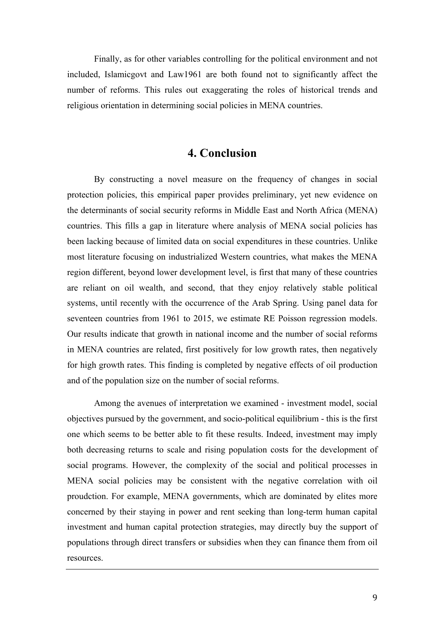Finally, as for other variables controlling for the political environment and not included, Islamicgovt and Law1961 are both found not to significantly affect the number of reforms. This rules out exaggerating the roles of historical trends and religious orientation in determining social policies in MENA countries.

### **4. Conclusion**

By constructing a novel measure on the frequency of changes in social protection policies, this empirical paper provides preliminary, yet new evidence on the determinants of social security reforms in Middle East and North Africa (MENA) countries. This fills a gap in literature where analysis of MENA social policies has been lacking because of limited data on social expenditures in these countries. Unlike most literature focusing on industrialized Western countries, what makes the MENA region different, beyond lower development level, is first that many of these countries are reliant on oil wealth, and second, that they enjoy relatively stable political systems, until recently with the occurrence of the Arab Spring. Using panel data for seventeen countries from 1961 to 2015, we estimate RE Poisson regression models. Our results indicate that growth in national income and the number of social reforms in MENA countries are related, first positively for low growth rates, then negatively for high growth rates. This finding is completed by negative effects of oil production and of the population size on the number of social reforms.

Among the avenues of interpretation we examined - investment model, social objectives pursued by the government, and socio-political equilibrium - this is the first one which seems to be better able to fit these results. Indeed, investment may imply both decreasing returns to scale and rising population costs for the development of social programs. However, the complexity of the social and political processes in MENA social policies may be consistent with the negative correlation with oil proudction. For example, MENA governments, which are dominated by elites more concerned by their staying in power and rent seeking than long-term human capital investment and human capital protection strategies, may directly buy the support of populations through direct transfers or subsidies when they can finance them from oil resources.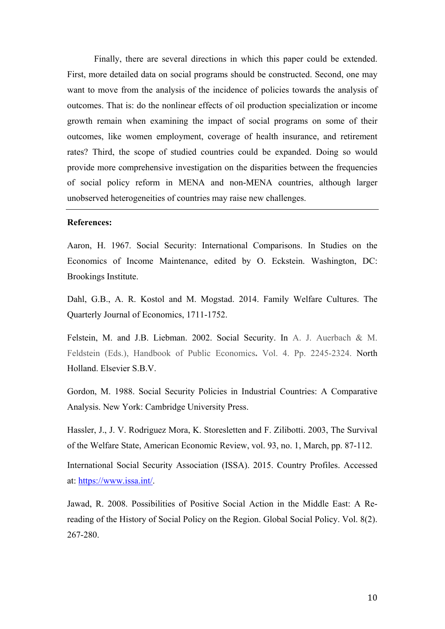Finally, there are several directions in which this paper could be extended. First, more detailed data on social programs should be constructed. Second, one may want to move from the analysis of the incidence of policies towards the analysis of outcomes. That is: do the nonlinear effects of oil production specialization or income growth remain when examining the impact of social programs on some of their outcomes, like women employment, coverage of health insurance, and retirement rates? Third, the scope of studied countries could be expanded. Doing so would provide more comprehensive investigation on the disparities between the frequencies of social policy reform in MENA and non-MENA countries, although larger unobserved heterogeneities of countries may raise new challenges.

#### **References:**

Aaron, H. 1967. Social Security: International Comparisons. In Studies on the Economics of Income Maintenance, edited by O. Eckstein. Washington, DC: Brookings Institute.

Dahl, G.B., A. R. Kostol and M. Mogstad. 2014. Family Welfare Cultures. The Quarterly Journal of Economics, 1711-1752.

Felstein, M. and J.B. Liebman. 2002. Social Security. In A. J. Auerbach & M. Feldstein (Eds.), Handbook of Public Economics**.** Vol. 4. Pp. 2245-2324. North Holland. Elsevier S.B.V.

Gordon, M. 1988. Social Security Policies in Industrial Countries: A Comparative Analysis. New York: Cambridge University Press.

Hassler, J., J. V. Rodriguez Mora, K. Storesletten and F. Zilibotti. 2003, The Survival of the Welfare State, American Economic Review, vol. 93, no. 1, March, pp. 87-112.

International Social Security Association (ISSA). 2015. Country Profiles. Accessed at: https://www.issa.int/.

Jawad, R. 2008. Possibilities of Positive Social Action in the Middle East: A Rereading of the History of Social Policy on the Region. Global Social Policy. Vol. 8(2). 267-280.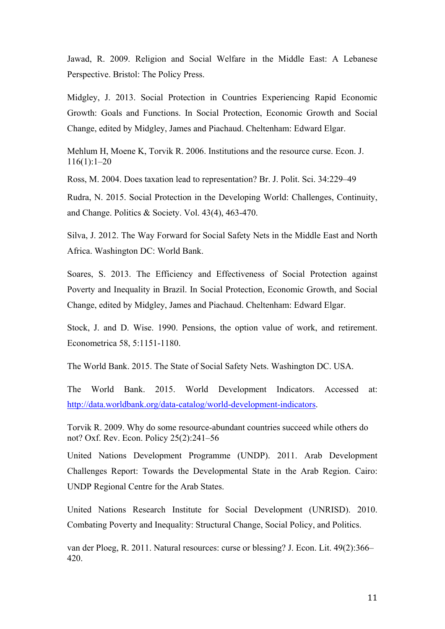Jawad, R. 2009. Religion and Social Welfare in the Middle East: A Lebanese Perspective. Bristol: The Policy Press.

Midgley, J. 2013. Social Protection in Countries Experiencing Rapid Economic Growth: Goals and Functions. In Social Protection, Economic Growth and Social Change, edited by Midgley, James and Piachaud. Cheltenham: Edward Elgar.

Mehlum H, Moene K, Torvik R. 2006. Institutions and the resource curse. Econ. J. 116(1):1–20

Ross, M. 2004. Does taxation lead to representation? Br. J. Polit. Sci. 34:229–49

Rudra, N. 2015. Social Protection in the Developing World: Challenges, Continuity, and Change. Politics & Society. Vol. 43(4), 463-470.

Silva, J. 2012. The Way Forward for Social Safety Nets in the Middle East and North Africa. Washington DC: World Bank.

Soares, S. 2013. The Efficiency and Effectiveness of Social Protection against Poverty and Inequality in Brazil. In Social Protection, Economic Growth, and Social Change, edited by Midgley, James and Piachaud. Cheltenham: Edward Elgar.

Stock, J. and D. Wise. 1990. Pensions, the option value of work, and retirement. Econometrica 58, 5:1151-1180.

The World Bank. 2015. The State of Social Safety Nets. Washington DC. USA.

The World Bank. 2015. World Development Indicators. Accessed at: http://data.worldbank.org/data-catalog/world-development-indicators.

Torvik R. 2009. Why do some resource-abundant countries succeed while others do not? Oxf. Rev. Econ. Policy 25(2):241–56

United Nations Development Programme (UNDP). 2011. Arab Development Challenges Report: Towards the Developmental State in the Arab Region. Cairo: UNDP Regional Centre for the Arab States.

United Nations Research Institute for Social Development (UNRISD). 2010. Combating Poverty and Inequality: Structural Change, Social Policy, and Politics.

van der Ploeg, R. 2011. Natural resources: curse or blessing? J. Econ. Lit. 49(2):366– 420.